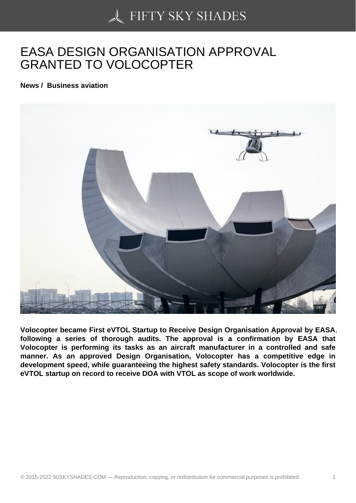## [EASA DESIGN ORGA](https://50skyshades.com)NISATION APPROVAL GRANTED TO VOLOCOPTER

News / Business aviation

Volocopter became First eVTOL Startup to Receive Design Organisation Approval by EASA , following a series of thorough audits. The approval is a confirmation by EASA that Volocopter is performing its tasks as an aircraft manufacturer in a controlled and safe manner. As an approved Design Organisation, Volocopter has a competitive edge in development speed, while guaranteeing the highest safety standards. Volocopter is the first eVTOL startup on record to receive DOA with VTOL as scope of work worldwide.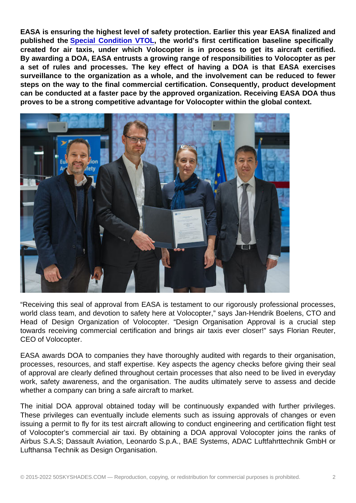EASA is ensuring the highest level of safety protection. Earlier this year EASA finalized and published the Special Condition VTOL , the world's first certification baseline specifically created for air taxis, under which Volocopter is in process to get its aircraft certified. By awarding a DOA, EASA entrusts a growing range of responsibilities to Volocopter as per a set of rules [and processes. The key](https://www.easa.europa.eu/sites/default/files/dfu/SC-VTOL-01.pdf) effect of having a DOA is that EASA exercises surveillance to the organization as a whole, and the involvement can be reduced to fewer steps on the way to the final commercial certification. Consequently, product development can be conducted at a faster pace by the approved organization. Receiving EASA DOA thus proves to be a strong competitive advantage for Volocopter within the global context.

"Receiving this seal of approval from EASA is testament to our rigorously professional processes, world class team, and devotion to safety here at Volocopter," says Jan-Hendrik Boelens, CTO and Head of Design Organization of Volocopter. "Design Organisation Approval is a crucial step towards receiving commercial certification and brings air taxis ever closer!" says Florian Reuter, CEO of Volocopter.

EASA awards DOA to companies they have thoroughly audited with regards to their organisation, processes, resources, and staff expertise. Key aspects the agency checks before giving their seal of approval are clearly defined throughout certain processes that also need to be lived in everyday work, safety awareness, and the organisation. The audits ultimately serve to assess and decide whether a company can bring a safe aircraft to market.

The initial DOA approval obtained today will be continuously expanded with further privileges. These privileges can eventually include elements such as issuing approvals of changes or even issuing a permit to fly for its test aircraft allowing to conduct engineering and certification flight test of Volocopter's commercial air taxi. By obtaining a DOA approval Volocopter joins the ranks of Airbus S.A.S; Dassault Aviation, Leonardo S.p.A., BAE Systems, ADAC Luftfahrttechnik GmbH or Lufthansa Technik as Design Organisation.